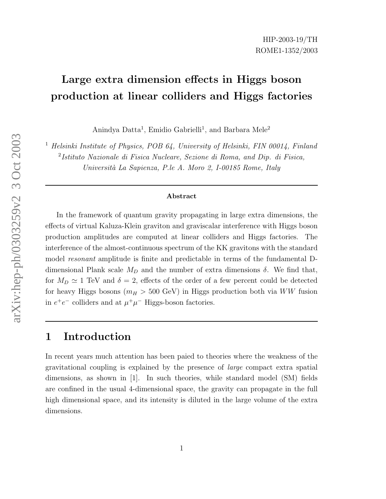# Large extra dimension effects in Higgs boson production at linear colliders and Higgs factories

Anindya Datta<sup>1</sup>, Emidio Gabrielli<sup>1</sup>, and Barbara Mele<sup>2</sup>

<sup>1</sup> Helsinki Institute of Physics, POB 64, University of Helsinki, FIN 00014, Finland

2 Istituto Nazionale di Fisica Nucleare, Sezione di Roma, and Dip. di Fisica, Universit`a La Sapienza, P.le A. Moro 2, I-00185 Rome, Italy

#### Abstract

In the framework of quantum gravity propagating in large extra dimensions, the effects of virtual Kaluza-Klein graviton and graviscalar interference with Higgs boson production amplitudes are computed at linear colliders and Higgs factories. The interference of the almost-continuous spectrum of the KK gravitons with the standard model resonant amplitude is finite and predictable in terms of the fundamental Ddimensional Plank scale  $M_D$  and the number of extra dimensions  $\delta$ . We find that, for  $M_D \simeq 1$  TeV and  $\delta = 2$ , effects of the order of a few percent could be detected for heavy Higgs bosons ( $m_H > 500$  GeV) in Higgs production both via  $WW$  fusion in  $e^+e^-$  colliders and at  $\mu^+\mu^-$  Higgs-boson factories.

### 1 Introduction

In recent years much attention has been paied to theories where the weakness of the gravitational coupling is explained by the presence of large compact extra spatial dimensions, as shown in [1]. In such theories, while standard model (SM) fields are confined in the usual 4-dimensional space, the gravity can propagate in the full high dimensional space, and its intensity is diluted in the large volume of the extra dimensions.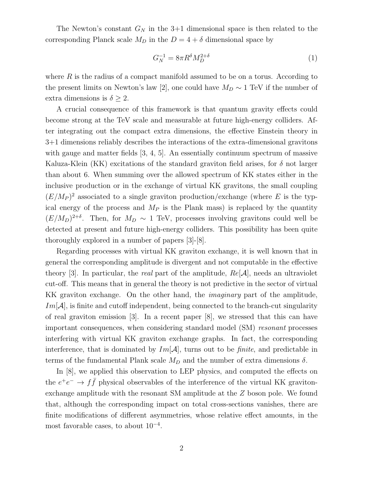The Newton's constant  $G_N$  in the 3+1 dimensional space is then related to the corresponding Planck scale  $M_D$  in the  $D = 4 + \delta$  dimensional space by

$$
G_N^{-1} = 8\pi R^\delta M_D^{2+\delta} \tag{1}
$$

where  $R$  is the radius of a compact manifold assumed to be on a torus. According to the present limits on Newton's law [2], one could have  $M_D \sim 1 \text{ TeV}$  if the number of extra dimensions is  $\delta \geq 2$ .

A crucial consequence of this framework is that quantum gravity effects could become strong at the TeV scale and measurable at future high-energy colliders. After integrating out the compact extra dimensions, the effective Einstein theory in 3+1 dimensions reliably describes the interactions of the extra-dimensional gravitons with gauge and matter fields [3, 4, 5]. An essentially continuum spectrum of massive Kaluza-Klein (KK) excitations of the standard graviton field arises, for  $\delta$  not larger than about 6. When summing over the allowed spectrum of KK states either in the inclusive production or in the exchange of virtual KK gravitons, the small coupling  $(E/M_P)^2$  associated to a single graviton production/exchange (where E is the typical energy of the process and  $M_P$  is the Plank mass) is replaced by the quantity  $(E/M_D)^{2+\delta}$ . Then, for  $M_D \sim 1$  TeV, processes involving gravitons could well be detected at present and future high-energy colliders. This possibility has been quite thoroughly explored in a number of papers [3]-[8].

Regarding processes with virtual KK graviton exchange, it is well known that in general the corresponding amplitude is divergent and not computable in the effective theory [3]. In particular, the real part of the amplitude,  $Re[\mathcal{A}]$ , needs an ultraviolet cut-off. This means that in general the theory is not predictive in the sector of virtual KK graviton exchange. On the other hand, the *imaginary* part of the amplitude,  $Im[\mathcal{A}]$ , is finite and cutoff independent, being connected to the branch-cut singularity of real graviton emission [3]. In a recent paper [8], we stressed that this can have important consequences, when considering standard model (SM) resonant processes interfering with virtual KK graviton exchange graphs. In fact, the corresponding interference, that is dominated by  $Im[\mathcal{A}]$ , turns out to be *finite*, and predictable in terms of the fundamental Plank scale  $M_D$  and the number of extra dimensions  $\delta$ .

In [8], we applied this observation to LEP physics, and computed the effects on the  $e^+e^- \rightarrow f\bar{f}$  physical observables of the interference of the virtual KK gravitonexchange amplitude with the resonant SM amplitude at the Z boson pole. We found that, although the corresponding impact on total cross-sections vanishes, there are finite modifications of different asymmetries, whose relative effect amounts, in the most favorable cases, to about  $10^{-4}$ .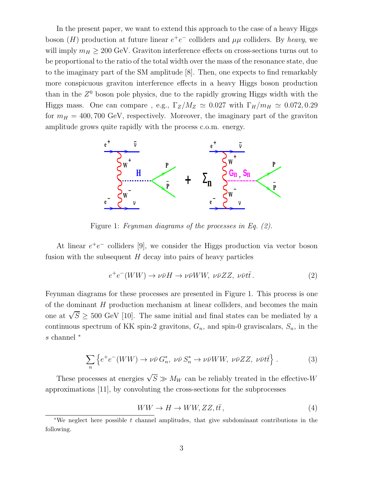In the present paper, we want to extend this approach to the case of a heavy Higgs boson (H) production at future linear  $e^+e^-$  colliders and  $\mu\mu$  colliders. By heavy, we will imply  $m_H \geq 200$  GeV. Graviton interference effects on cross-sections turns out to be proportional to the ratio of the total width over the mass of the resonance state, due to the imaginary part of the SM amplitude [8]. Then, one expects to find remarkably more conspicuous graviton interference effects in a heavy Higgs boson production than in the  $Z^0$  boson pole physics, due to the rapidly growing Higgs width with the Higgs mass. One can compare , e.g.,  $\Gamma_Z/M_Z \simeq 0.027$  with  $\Gamma_H/m_H \simeq 0.072, 0.29$ for  $m_H = 400, 700 \text{ GeV}$ , respectively. Moreover, the imaginary part of the graviton amplitude grows quite rapidly with the process c.o.m. energy.



Figure 1: Feynman diagrams of the processes in Eq. (2).

At linear  $e^+e^-$  colliders [9], we consider the Higgs production via vector boson fusion with the subsequent  $H$  decay into pairs of heavy particles

$$
e^{+}e^{-}(WW) \to \nu\bar{\nu}H \to \nu\bar{\nu}WW, \ \nu\bar{\nu}ZZ, \ \nu\bar{\nu}t\bar{t}.
$$
 (2)

Feynman diagrams for these processes are presented in Figure 1. This process is one of the dominant H production mechanism at linear colliders, and becomes the main one at  $\sqrt{S} \geq 500$  GeV [10]. The same initial and final states can be mediated by a continuous spectrum of KK spin-2 gravitons,  $G_n$ , and spin-0 graviscalars,  $S_n$ , in the s channel <sup>∗</sup>

$$
\sum_{n} \left\{ e^+ e^-(WW) \to \nu \bar{\nu} G_n^*, \ \nu \bar{\nu} S_n^* \to \nu \bar{\nu} WW, \ \nu \bar{\nu} ZZ, \ \nu \bar{\nu} t \bar{t} \right\} . \tag{3}
$$

These processes at energies  $\sqrt{S} \gg M_W$  can be reliably treated in the effective-W approximations [11], by convoluting the cross-sections for the subprocesses

$$
WW \to H \to WW, ZZ, t\bar{t}, \qquad (4)
$$

<sup>∗</sup>We neglect here possible t channel amplitudes, that give subdominant contributions in the following.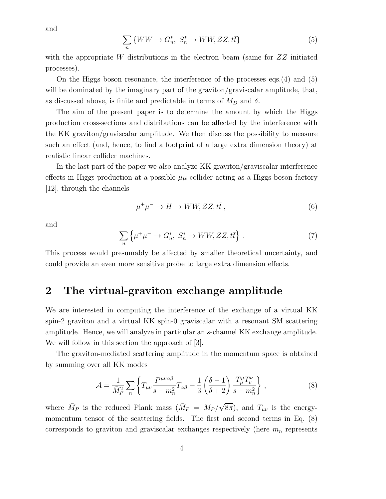and

$$
\sum_{n} \{WW \to G_n^*, \ S_n^* \to WW, ZZ, t\bar{t}\}\tag{5}
$$

with the appropriate W distributions in the electron beam (same for  $ZZ$  initiated processes).

On the Higgs boson resonance, the interference of the processes eqs.(4) and (5) will be dominated by the imaginary part of the graviton/graviscalar amplitude, that, as discussed above, is finite and predictable in terms of  $M_D$  and  $\delta$ .

The aim of the present paper is to determine the amount by which the Higgs production cross-sections and distributions can be affected by the interference with the KK graviton/graviscalar amplitude. We then discuss the possibility to measure such an effect (and, hence, to find a footprint of a large extra dimension theory) at realistic linear collider machines.

In the last part of the paper we also analyze KK graviton/graviscalar interference effects in Higgs production at a possible  $\mu\mu$  collider acting as a Higgs boson factory [12], through the channels

$$
\mu^+\mu^- \to H \to WW, ZZ, t\bar{t}, \qquad (6)
$$

and

$$
\sum_{n} \left\{ \mu^{+} \mu^{-} \to G_{n}^{*}, \ S_{n}^{*} \to WW, ZZ, t\bar{t} \right\} \ . \tag{7}
$$

This process would presumably be affected by smaller theoretical uncertainty, and could provide an even more sensitive probe to large extra dimension effects.

### 2 The virtual-graviton exchange amplitude

We are interested in computing the interference of the exchange of a virtual KK spin-2 graviton and a virtual KK spin-0 graviscalar with a resonant SM scattering amplitude. Hence, we will analyze in particular an s-channel KK exchange amplitude. We will follow in this section the approach of [3].

The graviton-mediated scattering amplitude in the momentum space is obtained by summing over all KK modes

$$
\mathcal{A} = \frac{1}{M_P^2} \sum_n \left\{ T_{\mu\nu} \frac{P^{\mu\nu\alpha\beta}}{s - m_n^2} T_{\alpha\beta} + \frac{1}{3} \left( \frac{\delta - 1}{\delta + 2} \right) \frac{T_{\mu}^{\mu} T_{\nu}^{\nu}}{s - m_n^2} \right\},\tag{8}
$$

where  $\bar{M}_P$  is the reduced Plank mass  $(\bar{M}_P = M_P / \sqrt{8\pi})$ , and  $T_{\mu\nu}$  is the energymomentum tensor of the scattering fields. The first and second terms in Eq.  $(8)$ corresponds to graviton and graviscalar exchanges respectively (here  $m_n$  represents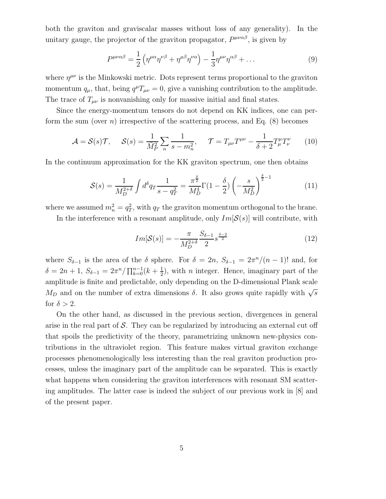both the graviton and graviscalar masses without loss of any generality). In the unitary gauge, the projector of the graviton propagator,  $P^{\mu\nu\alpha\beta}$ , is given by

$$
P^{\mu\nu\alpha\beta} = \frac{1}{2} \left( \eta^{\mu\alpha} \eta^{\nu\beta} + \eta^{\mu\beta} \eta^{\nu\alpha} \right) - \frac{1}{3} \eta^{\mu\nu} \eta^{\alpha\beta} + \dots \tag{9}
$$

where  $\eta^{\mu\nu}$  is the Minkowski metric. Dots represent terms proportional to the graviton momentum  $q_{\mu}$ , that, being  $q^{\mu}T_{\mu\nu} = 0$ , give a vanishing contribution to the amplitude. The trace of  $T_{\mu\nu}$  is nonvanishing only for massive initial and final states.

Since the energy-momentum tensors do not depend on KK indices, one can perform the sum (over *n*) irrespective of the scattering process, and Eq.  $(8)$  becomes

$$
\mathcal{A} = \mathcal{S}(s)\mathcal{T}, \quad \mathcal{S}(s) = \frac{1}{\bar{M}_P^2} \sum_n \frac{1}{s - m_n^2}, \quad \mathcal{T} = T_{\mu\nu}T^{\mu\nu} - \frac{1}{\delta + 2}T_{\mu}^{\mu}T_{\nu}^{\nu} \tag{10}
$$

In the continuum approximation for the KK graviton spectrum, one then obtains

$$
S(s) = \frac{1}{M_D^{2+\delta}} \int d^{\delta}q \, \frac{1}{s - q_T^2} = \frac{\pi^{\frac{\delta}{2}}}{M_D^4} \Gamma(1 - \frac{\delta}{2}) \left( -\frac{s}{M_D^2} \right)^{\frac{\delta}{2} - 1} \tag{11}
$$

where we assumed  $m_n^2 = q_T^2$  $T_T^2$ , with  $q_T$  the graviton momentum orthogonal to the brane.

In the interference with a resonant amplitude, only  $Im[\mathcal{S}(s)]$  will contribute, with

$$
Im[\mathcal{S}(s)] = -\frac{\pi}{M_D^{2+\delta}} \frac{S_{\delta-1}}{2} s^{\frac{\delta-2}{2}}
$$
(12)

where  $S_{\delta-1}$  is the area of the  $\delta$  sphere. For  $\delta = 2n$ ,  $S_{\delta-1} = 2\pi^{n}/(n-1)!$  and, for  $\delta = 2n + 1, S_{\delta-1} = 2\pi^{n}/\prod_{k=0}^{n-1}(k + \frac{1}{2})$  $\frac{1}{2}$ , with *n* integer. Hence, imaginary part of the amplitude is finite and predictable, only depending on the D-dimensional Plank scale  $M_D$  and on the number of extra dimensions  $\delta$ . It also grows quite rapidly with  $\sqrt{s}$ for  $\delta > 2$ .

On the other hand, as discussed in the previous section, divergences in general arise in the real part of  $S$ . They can be regularized by introducing an external cut off that spoils the predictivity of the theory, parametrizing unknown new-physics contributions in the ultraviolet region. This feature makes virtual graviton exchange processes phenomenologically less interesting than the real graviton production processes, unless the imaginary part of the amplitude can be separated. This is exactly what happens when considering the graviton interferences with resonant SM scattering amplitudes. The latter case is indeed the subject of our previous work in [8] and of the present paper.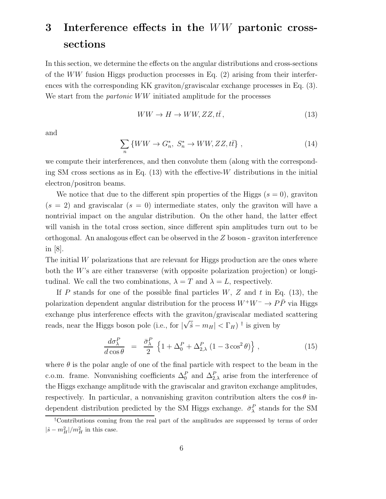# 3 Interference effects in the WW partonic crosssections

In this section, we determine the effects on the angular distributions and cross-sections of the  $WW$  fusion Higgs production processes in Eq. (2) arising from their interferences with the corresponding KK graviton/graviscalar exchange processes in Eq. (3). We start from the *partonic* WW initiated amplitude for the processes

$$
WW \to H \to WW, ZZ, t\bar{t}, \qquad (13)
$$

and

$$
\sum_{n} \{WW \to G_n^*, \ S_n^* \to WW, ZZ, t\bar{t}\},\tag{14}
$$

we compute their interferences, and then convolute them (along with the corresponding SM cross sections as in Eq.  $(13)$  with the effective-W distributions in the initial electron/positron beams.

We notice that due to the different spin properties of the Higgs  $(s = 0)$ , graviton  $(s = 2)$  and graviscalar  $(s = 0)$  intermediate states, only the graviton will have a nontrivial impact on the angular distribution. On the other hand, the latter effect will vanish in the total cross section, since different spin amplitudes turn out to be orthogonal. An analogous effect can be observed in the  $Z$  boson - graviton interference in [8].

The initial  $W$  polarizations that are relevant for Higgs production are the ones where both the W's are either transverse (with opposite polarization projection) or longitudinal. We call the two combinations,  $\lambda = T$  and  $\lambda = L$ , respectively.

If P stands for one of the possible final particles  $W, Z$  and t in Eq. (13), the polarization dependent angular distribution for the process  $W^+W^- \to P\bar{P}$  via Higgs exchange plus interference effects with the graviton/graviscalar mediated scattering reads, near the Higgs boson pole (i.e., for  $|\sqrt{\hat{s}} - m_H| < \Gamma_H$ )<sup>†</sup> is given by

$$
\frac{d\sigma_{\lambda}^{P}}{d\cos\theta} = \frac{\bar{\sigma}_{\lambda}^{P}}{2} \left\{ 1 + \Delta_{0}^{P} + \Delta_{2,\lambda}^{P} \left( 1 - 3\cos^{2}\theta \right) \right\},\tag{15}
$$

where  $\theta$  is the polar angle of one of the final particle with respect to the beam in the c.o.m. frame. Nonvanishing coefficients  $\Delta_0^P$  and  $\Delta_{2,\lambda}^P$  arise from the interference of the Higgs exchange amplitude with the graviscalar and graviton exchange amplitudes, respectively. In particular, a nonvanishing graviton contribution alters the  $\cos\theta$  independent distribution predicted by the SM Higgs exchange.  $\bar{\sigma}_{\lambda}^P$  stands for the SM

<sup>†</sup>Contributions coming from the real part of the amplitudes are suppressed by terms of order  $|\hat{s}-m_H^2|/m_H^2$  in this case.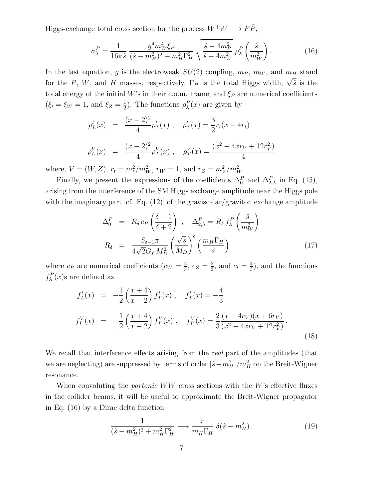Higgs-exchange total cross section for the process  $W^+W^-\to P\bar P,$ 

$$
\bar{\sigma}_{\lambda}^{P} = \frac{1}{16\pi\hat{s}} \frac{g^4 m_W^4 \xi_P}{(\hat{s} - m_H^2)^2 + m_H^2 \Gamma_H^2} \sqrt{\frac{\hat{s} - 4m_P^2}{\hat{s} - 4m_W^2}} \rho_{\lambda}^{P} \left(\frac{\hat{s}}{m_W^2}\right). \tag{16}
$$

In the last equation, g is the electroweak  $SU(2)$  coupling,  $m_P$ ,  $m_W$ , and  $m_H$  stand for the P, W, and H masses, respectively,  $\Gamma_H$  is the total Higgs width,  $\sqrt{\hat{s}}$  is the total energy of the initial W's in their c.o.m. frame, and  $\xi_P$  are numerical coefficients  $(\xi_t = \xi_W = 1, \text{ and } \xi_Z = \frac{1}{2})$  $\frac{1}{2}$ ). The functions  $\rho_{\lambda}^{P}(x)$  are given by

$$
\rho_L^t(x) = \frac{(x-2)^2}{4} \rho_T^t(x), \quad \rho_T^t(x) = \frac{3}{2} r_t(x - 4r_t)
$$
  

$$
\rho_L^V(x) = \frac{(x-2)^2}{4} \rho_T^V(x), \quad \rho_T^V(x) = \frac{(x^2 - 4xr_V + 12r_V^2)}{4}
$$

where,  $V = (W, Z), r_t = m_t^2/m_W^2, r_W = 1$ , and  $r_Z = m_Z^2/m_W^2$ .

Finally, we present the expressions of the coefficients  $\Delta_0^P$  and  $\Delta_{2,\lambda}^P$  in Eq. (15), arising from the interference of the SM Higgs exchange amplitude near the Higgs pole with the imaginary part [cf. Eq. (12)] of the graviscalar/graviton exchange amplitude

$$
\Delta_0^P = R_\delta c_P \left(\frac{\delta - 1}{\delta + 2}\right), \quad \Delta_{2,\lambda}^P = R_\delta f_\lambda^P \left(\frac{\hat{s}}{m_W^2}\right)
$$

$$
R_\delta = \frac{S_{\delta - 1}\pi}{4\sqrt{2}G_F M_D^2} \left(\frac{\sqrt{\hat{s}}}{M_D}\right)^\delta \left(\frac{m_H \Gamma_H}{\hat{s}}\right)
$$
(17)

where  $c_P$  are numerical coefficients  $(c_W = \frac{4}{3})$  $\frac{4}{3}, c_Z = \frac{2}{3}$  $\frac{2}{3}$ , and  $c_t = \frac{4}{3}$  $\frac{4}{3}$ , and the functions  $f_{\lambda}^{P}(x)$ s are defined as

$$
f_L^t(x) = -\frac{1}{2} \left( \frac{x+4}{x-2} \right) f_T^t(x) , \quad f_T^t(x) = -\frac{4}{3}
$$
  

$$
f_L^V(x) = -\frac{1}{2} \left( \frac{x+4}{x-2} \right) f_T^V(x) , \quad f_T^V(x) = \frac{2}{3} \frac{(x-4r_V)(x+6r_V)}{(x^2-4xr_V+12r_V^2)}.
$$
 (18)

We recall that interference effects arising from the *real* part of the amplitudes (that we are neglecting) are suppressed by terms of order  $|\hat{s} - m_H^2|/m_H^2$  on the Breit-Wigner resonance.

When convoluting the *partonic*  $WW$  cross sections with the W's effective fluxes in the collider beams, it will be useful to approximate the Breit-Wigner propagator in Eq. (16) by a Dirac delta function

$$
\frac{1}{(\hat{s} - m_H^2)^2 + m_H^2 \Gamma_H^2} \longrightarrow \frac{\pi}{m_H \Gamma_H} \delta(\hat{s} - m_H^2). \tag{19}
$$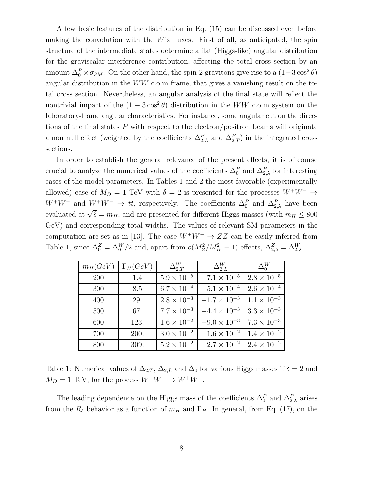A few basic features of the distribution in Eq. (15) can be discussed even before making the convolution with the  $W$ 's fluxes. First of all, as anticipated, the spin structure of the intermediate states determine a flat (Higgs-like) angular distribution for the graviscalar interference contribution, affecting the total cross section by an amount  $\Delta_0^P \times \sigma_{SM}$ . On the other hand, the spin-2 gravitons give rise to a  $(1-3\cos^2\theta)$ angular distribution in the WW c.o.m frame, that gives a vanishing result on the total cross section. Nevertheless, an angular analysis of the final state will reflect the nontrivial impact of the  $(1 - 3\cos^2\theta)$  distribution in the  $WW$  c.o.m system on the laboratory-frame angular characteristics. For instance, some angular cut on the directions of the final states  $P$  with respect to the electron/positron beams will originate a non null effect (weighted by the coefficients  $\Delta_{2,L}^P$  and  $\Delta_{2,T}^P$ ) in the integrated cross sections.

In order to establish the general relevance of the present effects, it is of course crucial to analyze the numerical values of the coefficients  $\Delta_0^P$  and  $\Delta_{2,\lambda}^P$  for interesting cases of the model parameters. In Tables 1 and 2 the most favorable (experimentally allowed) case of  $M_D = 1$  TeV with  $\delta = 2$  is presented for the processes  $W^+W^- \rightarrow$  $W^+W^-$  and  $W^+W^ \rightarrow t\bar{t}$ , respectively. The coefficients  $\Delta_0^P$  and  $\Delta_{2,\lambda}^P$  have been evaluated at  $\sqrt{\hat{s}} = m_H$ , and are presented for different Higgs masses (with  $m_H \leq 800$ GeV) and corresponding total widths. The values of relevant SM parameters in the computation are set as in [13]. The case  $W^+W^- \to ZZ$  can be easily inferred from Table 1, since  $\Delta_0^Z = \Delta_0^W/2$  and, apart from  $o(M_Z^2/M_W^2 - 1)$  effects,  $\Delta_{2,\lambda}^Z = \Delta_{2,\lambda}^W$ .

| $m_H(GeV)$ | $\Gamma_H (GeV)$ | $\Delta_{2,T}^{W}$   | $\Delta_{2.L}^{W}$    | $\Delta_0^W$         |
|------------|------------------|----------------------|-----------------------|----------------------|
| 200        | 1.4              | $5.9 \times 10^{-5}$ | $-7.1 \times 10^{-5}$ | $2.8 \times 10^{-5}$ |
| 300        | 8.5              | $6.7 \times 10^{-4}$ | $-5.1 \times 10^{-4}$ | $2.6 \times 10^{-4}$ |
| 400        | 29.              | $2.8 \times 10^{-3}$ | $-1.7 \times 10^{-3}$ | $1.1 \times 10^{-3}$ |
| 500        | 67.              | $7.7 \times 10^{-3}$ | $-4.4 \times 10^{-3}$ | $3.3 \times 10^{-3}$ |
| 600        | 123.             | $1.6 \times 10^{-2}$ | $-9.0 \times 10^{-3}$ | $7.3 \times 10^{-3}$ |
| 700        | 200.             | $3.0 \times 10^{-2}$ | $-1.6 \times 10^{-2}$ | $1.4 \times 10^{-2}$ |
| 800        | 309.             | $5.2 \times 10^{-2}$ | $-2.7 \times 10^{-2}$ | $2.4 \times 10^{-2}$ |

Table 1: Numerical values of  $\Delta_{2,T}$ ,  $\Delta_{2,L}$  and  $\Delta_0$  for various Higgs masses if  $\delta = 2$  and  $M_D=1$  TeV, for the process  $W^+W^-\rightarrow W^+W^-.$ 

The leading dependence on the Higgs mass of the coefficients  $\Delta_0^P$  and  $\Delta_{2,\lambda}^P$  arises from the  $R_{\delta}$  behavior as a function of  $m_H$  and  $\Gamma_H$ . In general, from Eq. (17), on the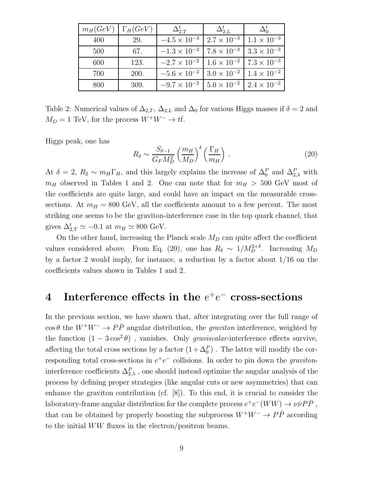|     | $m_H(GeV)$ $\Gamma_H(GeV)$ | $\Delta_{2.T}^{t}$                                                  | $\Delta_{2.L}^{\iota}$ | $\Delta_0^{\iota}$ |
|-----|----------------------------|---------------------------------------------------------------------|------------------------|--------------------|
| 400 | 29.                        | $-4.5 \times 10^{-3}$   $2.7 \times 10^{-3}$   $1.1 \times 10^{-3}$ |                        |                    |
| 500 | 67.                        | $-1.3 \times 10^{-2}$ 7.8 $\times 10^{-3}$ 3.3 $\times 10^{-3}$     |                        |                    |
| 600 | 123.                       | $-2.7 \times 10^{-2}$ 1.6 $\times 10^{-2}$ 7.3 $\times 10^{-3}$     |                        |                    |
| 700 | 200.                       | $-5.6 \times 10^{-2}$ 3.0 $\times 10^{-2}$ 1.4 $\times 10^{-2}$     |                        |                    |
| 800 | 309.                       | $-9.7 \times 10^{-2}$   $5.0 \times 10^{-2}$   $2.4 \times 10^{-2}$ |                        |                    |

Table 2: Numerical values of  $\Delta_{2,T}$ ,  $\Delta_{2,L}$  and  $\Delta_0$  for various Higgs masses if  $\delta = 2$  and  $M_D = 1$  TeV, for the process  $W^+W^- \to t\bar{t}$ .

Higgs peak, one has

$$
R_{\delta} \sim \frac{S_{\delta - 1}}{G_F M_D^2} \left(\frac{m_H}{M_D}\right)^{\delta} \left(\frac{\Gamma_H}{m_H}\right) \,. \tag{20}
$$

At  $\delta = 2$ ,  $R_2 \sim m_H \Gamma_H$ , and this largely explains the increase of  $\Delta_0^P$  and  $\Delta_{2,\lambda}^P$  with  $m_H$  observed in Tables 1 and 2. One can note that for  $m_H > 500$  GeV most of the coefficients are quite large, and could have an impact on the measurable crosssections. At  $m_H = 800$  GeV, all the coefficients amount to a few percent. The most striking one seems to be the graviton-interference case in the top quark channel, that gives  $\Delta_{2,T}^t \simeq -0.1$  at  $m_H \simeq 800$  GeV.

On the other hand, increasing the Planck scale  $M_D$  can quite affect the coefficient values considered above. From Eq. (20), one has  $R_{\delta} \sim 1/M_D^{2+\delta}$ . Increasing  $M_D$ by a factor 2 would imply, for instance, a reduction by a factor about 1/16 on the coefficients values shown in Tables 1 and 2.

## $4$  Interference effects in the  $e^+e^-$  cross-sections

In the previous section, we have shown that, after integrating over the full range of  $\cos \theta$  the  $W^+W^- \rightarrow P\bar{P}$  angular distribution, the *graviton* interference, weighted by the function  $(1 - 3\cos^2\theta)$ , vanishes. Only *graviscalar*-interference effects survive, affecting the total cross sections by a factor  $(1 + \Delta_0^P)$ . The latter will modify the corresponding total cross-sections in  $e^+e^-$  collisions. In order to pin down the *graviton*interference coefficients  $\Delta_{2,\lambda}^P$ , one should instead optimize the angular analysis of the process by defining proper strategies (like angular cuts or new asymmetries) that can enhance the graviton contribution (cf. [8]). To this end, it is crucial to consider the laboratory-frame angular distribution for the complete process  $e^+e^-(WW) \to \nu \bar{\nu} P \bar{P}$ , that can be obtained by properly boosting the subprocess  $W^+W^- \to P\bar{P}$  according to the initial WW fluxes in the electron/positron beams.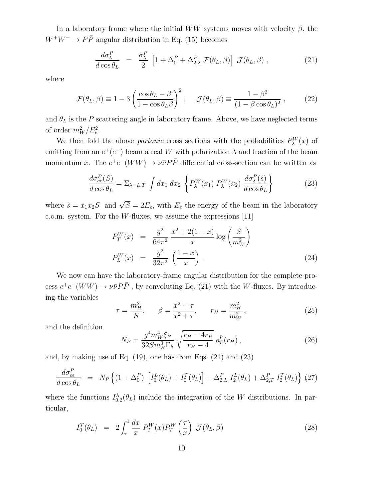In a laboratory frame where the initial WW systems moves with velocity  $\beta$ , the  $W^+W^- \to P\bar{P}$  angular distribution in Eq. (15) becomes

$$
\frac{d\sigma_{\lambda}^{P}}{d\cos\theta_{L}} = \frac{\bar{\sigma}_{\lambda}^{P}}{2} \left[ 1 + \Delta_{0}^{P} + \Delta_{2,\lambda}^{P} \mathcal{F}(\theta_{L}, \beta) \right] \mathcal{J}(\theta_{L}, \beta) , \qquad (21)
$$

where

$$
\mathcal{F}(\theta_L, \beta) \equiv 1 - 3 \left( \frac{\cos \theta_L - \beta}{1 - \cos \theta_L \beta} \right)^2; \quad \mathcal{J}(\theta_L, \beta) \equiv \frac{1 - \beta^2}{(1 - \beta \cos \theta_L)^2}, \quad (22)
$$

and  $\theta_L$  is the P scattering angle in laboratory frame. Above, we have neglected terms of order  $m_W^2/E_e^2$ .

We then fold the above *partonic* cross sections with the probabilities  $P_\lambda^W(x)$  of emitting from an  $e^+(e^-)$  beam a real W with polarization  $\lambda$  and fraction of the beam momentum x. The  $e^+e^-(WW) \to \nu\bar{\nu}P\bar{P}$  differential cross-section can be written as

$$
\frac{d\sigma_{ee}^P(S)}{d\cos\theta_L} = \Sigma_{\lambda=L,T} \int dx_1 dx_2 \left\{ P_{\lambda}^W(x_1) P_{\lambda}^W(x_2) \frac{d\sigma_{\lambda}^P(\hat{s})}{d\cos\theta_L} \right\}
$$
(23)

where  $\hat{s} = x_1 x_2 S$  and  $\sqrt{S} = 2E_e$ , with  $E_e$  the energy of the beam in the laboratory c.o.m. system. For the  $W$ -fluxes, we assume the expressions [11]

$$
P_T^W(x) = \frac{g^2}{64\pi^2} \frac{x^2 + 2(1-x)}{x} \log\left(\frac{S}{m_W^2}\right)
$$
  
\n
$$
P_L^W(x) = \frac{g^2}{32\pi^2} \left(\frac{1-x}{x}\right).
$$
\n(24)

We now can have the laboratory-frame angular distribution for the complete process  $e^+e^-(WW) \to \nu \bar{\nu} P \bar{P}$ , by convoluting Eq. (21) with the W-fluxes. By introducing the variables

$$
\tau = \frac{m_H^2}{S}, \qquad \beta = \frac{x^2 - \tau}{x^2 + \tau}, \qquad r_H = \frac{m_H^2}{m_W^2}, \tag{25}
$$

and the definition

$$
N_P = \frac{g^4 m_W^4 \xi_P}{32 S m_H^3 \Gamma_h} \sqrt{\frac{r_H - 4r_P}{r_H - 4}} \rho_T^P(r_H), \qquad (26)
$$

and, by making use of Eq. (19), one has from Eqs. (21) and (23)

$$
\frac{d\sigma_{ee}^P}{d\cos\theta_L} = N_P \left\{ (1 + \Delta_0^P) \left[ I_0^L(\theta_L) + I_0^T(\theta_L) \right] + \Delta_{2,L}^P I_2^L(\theta_L) + \Delta_{2,T}^P I_2^T(\theta_L) \right\} (27)
$$

where the functions  $I_{0,2}^{\lambda}(\theta_L)$  include the integration of the W distributions. In particular,

$$
I_0^T(\theta_L) = 2 \int_{\tau}^1 \frac{dx}{x} P_T^W(x) P_T^W\left(\frac{\tau}{x}\right) \mathcal{J}(\theta_L, \beta) \tag{28}
$$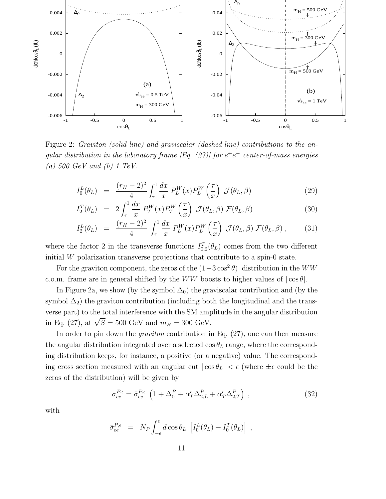

Figure 2: Graviton (solid line) and graviscalar (dashed line) contributions to the angular distribution in the laboratory frame [Eq. (27)] for  $e^+e^-$  center-of-mass energies (a) 500 GeV and (b) 1 TeV.

$$
I_0^L(\theta_L) = \frac{(r_H - 2)^2}{4} \int_{\tau}^1 \frac{dx}{x} P_L^W(x) P_L^W\left(\frac{\tau}{x}\right) \mathcal{J}(\theta_L, \beta) \tag{29}
$$

$$
I_2^T(\theta_L) = 2 \int_{\tau}^1 \frac{dx}{x} P_T^W(x) P_T^W\left(\frac{\tau}{x}\right) \mathcal{J}(\theta_L, \beta) \mathcal{F}(\theta_L, \beta)
$$
(30)

$$
I_2^L(\theta_L) = \frac{(r_H - 2)^2}{4} \int_{\tau}^1 \frac{dx}{x} P_L^W(x) P_L^W\left(\frac{\tau}{x}\right) \mathcal{J}(\theta_L, \beta) \mathcal{F}(\theta_L, \beta) , \qquad (31)
$$

where the factor 2 in the transverse functions  $I_{0,2}^T(\theta_L)$  comes from the two different initial W polarization transverse projections that contribute to a spin-0 state.

For the graviton component, the zeros of the  $(1-3\cos^2\theta)$  distribution in the WW c.o.m. frame are in general shifted by the WW boosts to higher values of  $|\cos \theta|$ .

In Figure 2a, we show (by the symbol  $\Delta_0$ ) the graviscalar contribution and (by the symbol  $\Delta_2$ ) the graviton contribution (including both the longitudinal and the transverse part) to the total interference with the SM amplitude in the angular distribution in Eq. (27), at  $\sqrt{S} = 500$  GeV and  $m_H = 300$  GeV.

In order to pin down the *graviton* contribution in Eq. (27), one can then measure the angular distribution integrated over a selected  $\cos \theta_L$  range, where the corresponding distribution keeps, for instance, a positive (or a negative) value. The corresponding cross section measured with an angular cut  $|\cos \theta_L| < \epsilon$  (where  $\pm \epsilon$  could be the zeros of the distribution) will be given by

$$
\sigma_{ee}^{P,\epsilon} = \bar{\sigma}_{ee}^{P,\epsilon} \left( 1 + \Delta_0^P + \alpha_L^{\epsilon} \Delta_{2,L}^P + \alpha_T^{\epsilon} \Delta_{2,T}^P \right) , \qquad (32)
$$

with

$$
\bar{\sigma}_{ee}^{P,\epsilon} = N_P \int_{-\epsilon}^{\epsilon} d\cos\theta_L \left[ I_0^L(\theta_L) + I_0^T(\theta_L) \right],
$$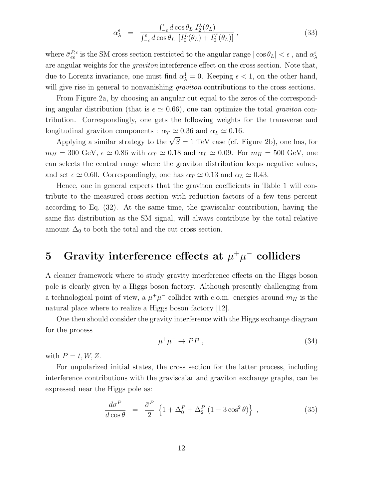$$
\alpha_{\lambda}^{\epsilon} = \frac{\int_{-\epsilon}^{\epsilon} d\cos\theta_L \ I_2^{\lambda}(\theta_L)}{\int_{-\epsilon}^{\epsilon} d\cos\theta_L \ [I_0^L(\theta_L) + I_0^T(\theta_L)]},
$$
\n(33)

where  $\bar{\sigma}_{ee}^{P,\epsilon}$  is the SM cross section restricted to the angular range  $|\cos \theta_L| < \epsilon$ , and  $\alpha_\lambda^{\epsilon}$ are angular weights for the graviton interference effect on the cross section. Note that, due to Lorentz invariance, one must find  $\alpha_{\lambda}^1 = 0$ . Keeping  $\epsilon < 1$ , on the other hand, will give rise in general to nonvanishing *graviton* contributions to the cross sections.

From Figure 2a, by choosing an angular cut equal to the zeros of the corresponding angular distribution (that is  $\epsilon \simeq 0.66$ ), one can optimize the total graviton contribution. Correspondingly, one gets the following weights for the transverse and longitudinal graviton components :  $\alpha_T \simeq 0.36$  and  $\alpha_L \simeq 0.16$ .

Applying a similar strategy to the  $\sqrt{S} = 1$  TeV case (cf. Figure 2b), one has, for  $m_H = 300 \text{ GeV}, \epsilon \simeq 0.86 \text{ with } \alpha_T \simeq 0.18 \text{ and } \alpha_L \simeq 0.09. \text{ For } m_H = 500 \text{ GeV}, \text{ one}$ can selects the central range where the graviton distribution keeps negative values, and set  $\epsilon \simeq 0.60$ . Correspondingly, one has  $\alpha_T \simeq 0.13$  and  $\alpha_L \simeq 0.43$ .

Hence, one in general expects that the graviton coefficients in Table 1 will contribute to the measured cross section with reduction factors of a few tens percent according to Eq. (32). At the same time, the graviscalar contribution, having the same flat distribution as the SM signal, will always contribute by the total relative amount  $\Delta_0$  to both the total and the cut cross section.

## 5 Gravity interference effects at  $\mu^+\mu^-$  colliders

A cleaner framework where to study gravity interference effects on the Higgs boson pole is clearly given by a Higgs boson factory. Although presently challenging from a technological point of view, a  $\mu^+\mu^-$  collider with c.o.m. energies around  $m_H$  is the natural place where to realize a Higgs boson factory [12].

One then should consider the gravity interference with the Higgs exchange diagram for the process

$$
\mu^+ \mu^- \to P\bar{P} \ , \tag{34}
$$

with  $P = t, W, Z$ .

For unpolarized initial states, the cross section for the latter process, including interference contributions with the graviscalar and graviton exchange graphs, can be expressed near the Higgs pole as:

$$
\frac{d\sigma^P}{d\cos\theta} = \frac{\bar{\sigma}^P}{2} \left\{ 1 + \Delta_0^P + \Delta_2^P \left( 1 - 3\cos^2\theta \right) \right\},\tag{35}
$$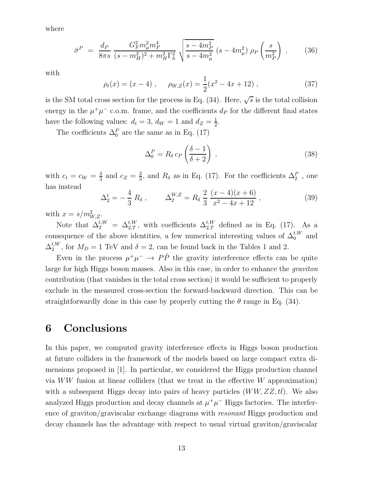where

$$
\bar{\sigma}^P = \frac{d_P}{8\pi s} \frac{G_F^2 m_\mu^2 m_P^4}{(s - m_H^2)^2 + m_H^2 \Gamma_h^2} \sqrt{\frac{s - 4m_P^2}{s - 4m_\mu^2}} (s - 4m_\mu^2) \rho_P \left(\frac{s}{m_P^2}\right) ,\qquad(36)
$$

with

$$
\rho_t(x) = (x - 4), \quad \rho_{W,Z}(x) = \frac{1}{2}(x^2 - 4x + 12),
$$
\n(37)

is the SM total cross section for the process in Eq. (34). Here,  $\sqrt{s}$  is the total collision energy in the  $\mu^+\mu^-$  c.o.m. frame, and the coefficients  $d_P$  for the different final states have the following values:  $d_t = 3$ ,  $d_W = 1$  and  $d_Z = \frac{1}{2}$  $\frac{1}{2}$ .

The coefficients  $\Delta_0^P$  are the same as in Eq. (17)

$$
\Delta_0^P = R_\delta c_P \left(\frac{\delta - 1}{\delta + 2}\right) \,,\tag{38}
$$

with  $c_t = c_W = \frac{4}{3}$  $rac{4}{3}$  and  $c_Z = \frac{2}{3}$  $\frac{2}{3}$ , and  $R_{\delta}$  as in Eq. (17). For the coefficients  $\Delta_2^P$ , one has instead

$$
\Delta_2^t = -\frac{4}{3} R_\delta \,, \qquad \Delta_2^{W,Z} = R_\delta \, \frac{2}{3} \, \frac{(x-4)(x+6)}{x^2 - 4x + 12} \,, \tag{39}
$$

with  $x = s/m_{W,Z}^2$ .

Note that  $\Delta_2^{t,W} = \Delta_{2,T}^{t,W}$ , with coefficients  $\Delta_{2,T}^{t,W}$  defined as in Eq. (17). As a consequence of the above identities, a few numerical interesting values of  $\Delta_0^{t,W}$  and  $\Delta_2^{t,W}$ , for  $M_D = 1$  TeV and  $\delta = 2$ , can be found back in the Tables 1 and 2.

Even in the process  $\mu^+\mu^ \rightarrow$   $P\bar{P}$  the gravity interference effects can be quite large for high Higgs boson masses. Also in this case, in order to enhance the *graviton* contribution (that vanishes in the total cross section) it would be sufficient to properly exclude in the measured cross-section the forward-backward direction. This can be straightforwardly done in this case by properly cutting the  $\theta$  range in Eq. (34).

#### 6 Conclusions

In this paper, we computed gravity interference effects in Higgs boson production at future colliders in the framework of the models based on large compact extra dimensions proposed in [1]. In particular, we considered the Higgs production channel via WW fusion at linear colliders (that we treat in the effective W approximation) with a subsequent Higgs decay into pairs of heavy particles  $(WW, ZZ, t\bar{t})$ . We also analyzed Higgs production and decay channels at  $\mu^+\mu^-$  Higgs factories. The interference of graviton/graviscalar exchange diagrams with resonant Higgs production and decay channels has the advantage with respect to usual virtual graviton/graviscalar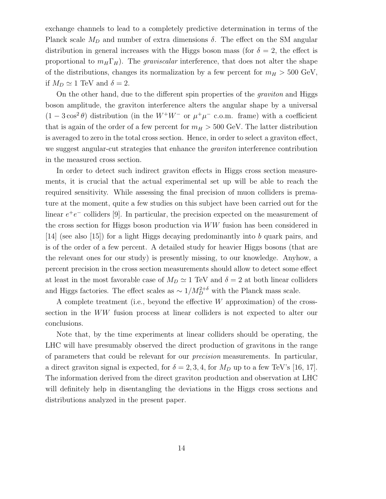exchange channels to lead to a completely predictive determination in terms of the Planck scale  $M_D$  and number of extra dimensions  $\delta$ . The effect on the SM angular distribution in general increases with the Higgs boson mass (for  $\delta = 2$ , the effect is proportional to  $m_H \Gamma_H$ ). The *graviscalar* interference, that does not alter the shape of the distributions, changes its normalization by a few percent for  $m_H > 500 \text{ GeV}$ , if  $M_D \simeq 1$  TeV and  $\delta = 2$ .

On the other hand, due to the different spin properties of the *graviton* and Higgs boson amplitude, the graviton interference alters the angular shape by a universal  $(1 - 3\cos^2\theta)$  distribution (in the  $W^+W^-$  or  $\mu^+\mu^-$  c.o.m. frame) with a coefficient that is again of the order of a few percent for  $m_H > 500$  GeV. The latter distribution is averaged to zero in the total cross section. Hence, in order to select a graviton effect, we suggest angular-cut strategies that enhance the *graviton* interference contribution in the measured cross section.

In order to detect such indirect graviton effects in Higgs cross section measurements, it is crucial that the actual experimental set up will be able to reach the required sensitivity. While assessing the final precision of muon colliders is premature at the moment, quite a few studies on this subject have been carried out for the linear  $e^+e^-$  colliders [9]. In particular, the precision expected on the measurement of the cross section for Higgs boson production via WW fusion has been considered in [14] (see also [15]) for a light Higgs decaying predominantly into b quark pairs, and is of the order of a few percent. A detailed study for heavier Higgs bosons (that are the relevant ones for our study) is presently missing, to our knowledge. Anyhow, a percent precision in the cross section measurements should allow to detect some effect at least in the most favorable case of  $M_D \simeq 1 \text{ TeV}$  and  $\delta = 2$  at both linear colliders and Higgs factories. The effect scales as  $\sim 1/M_D^{2+\delta}$  with the Planck mass scale.

A complete treatment (i.e., beyond the effective  $W$  approximation) of the crosssection in the WW fusion process at linear colliders is not expected to alter our conclusions.

Note that, by the time experiments at linear colliders should be operating, the LHC will have presumably observed the direct production of gravitons in the range of parameters that could be relevant for our precision measurements. In particular, a direct graviton signal is expected, for  $\delta = 2, 3, 4$ , for  $M_D$  up to a few TeV's [16, 17]. The information derived from the direct graviton production and observation at LHC will definitely help in disentangling the deviations in the Higgs cross sections and distributions analyzed in the present paper.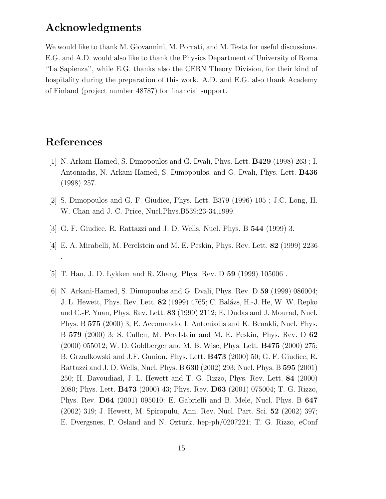### Acknowledgments

We would like to thank M. Giovannini, M. Porrati, and M. Testa for useful discussions. E.G. and A.D. would also like to thank the Physics Department of University of Roma "La Sapienza", while E.G. thanks also the CERN Theory Division, for their kind of hospitality during the preparation of this work. A.D. and E.G. also thank Academy of Finland (project number 48787) for financial support.

### References

- [1] N. Arkani-Hamed, S. Dimopoulos and G. Dvali, Phys. Lett. B429 (1998) 263 ; I. Antoniadis, N. Arkani-Hamed, S. Dimopoulos, and G. Dvali, Phys. Lett. B436 (1998) 257.
- [2] S. Dimopoulos and G. F. Giudice, Phys. Lett. B379 (1996) 105 ; J.C. Long, H. W. Chan and J. C. Price, Nucl.Phys.B539:23-34,1999.
- [3] G. F. Giudice, R. Rattazzi and J. D. Wells, Nucl. Phys. B 544 (1999) 3.
- [4] E. A. Mirabelli, M. Perelstein and M. E. Peskin, Phys. Rev. Lett. 82 (1999) 2236 .
- [5] T. Han, J. D. Lykken and R. Zhang, Phys. Rev. D 59 (1999) 105006 .
- [6] N. Arkani-Hamed, S. Dimopoulos and G. Dvali, Phys. Rev. D 59 (1999) 086004; J. L. Hewett, Phys. Rev. Lett. 82 (1999) 4765; C. Bal´azs, H.-J. He, W. W. Repko and C.-P. Yuan, Phys. Rev. Lett. 83 (1999) 2112; E. Dudas and J. Mourad, Nucl. Phys. B 575 (2000) 3; E. Accomando, I. Antoniadis and K. Benakli, Nucl. Phys. B 579 (2000) 3; S. Cullen, M. Perelstein and M. E. Peskin, Phys. Rev. D 62 (2000) 055012; W. D. Goldberger and M. B. Wise, Phys. Lett. B475 (2000) 275; B. Grzadkowski and J.F. Gunion, Phys. Lett. B473 (2000) 50; G. F. Giudice, R. Rattazzi and J. D. Wells, Nucl. Phys. B 630 (2002) 293; Nucl. Phys. B 595 (2001) 250; H. Davoudiasl, J. L. Hewett and T. G. Rizzo, Phys. Rev. Lett. 84 (2000) 2080; Phys. Lett. B473 (2000) 43; Phys. Rev. D63 (2001) 075004; T. G. Rizzo, Phys. Rev. D64 (2001) 095010; E. Gabrielli and B. Mele, Nucl. Phys. B 647 (2002) 319; J. Hewett, M. Spiropulu, Ann. Rev. Nucl. Part. Sci. 52 (2002) 397; E. Dvergsnes, P. Osland and N. Ozturk, hep-ph/0207221; T. G. Rizzo, eConf